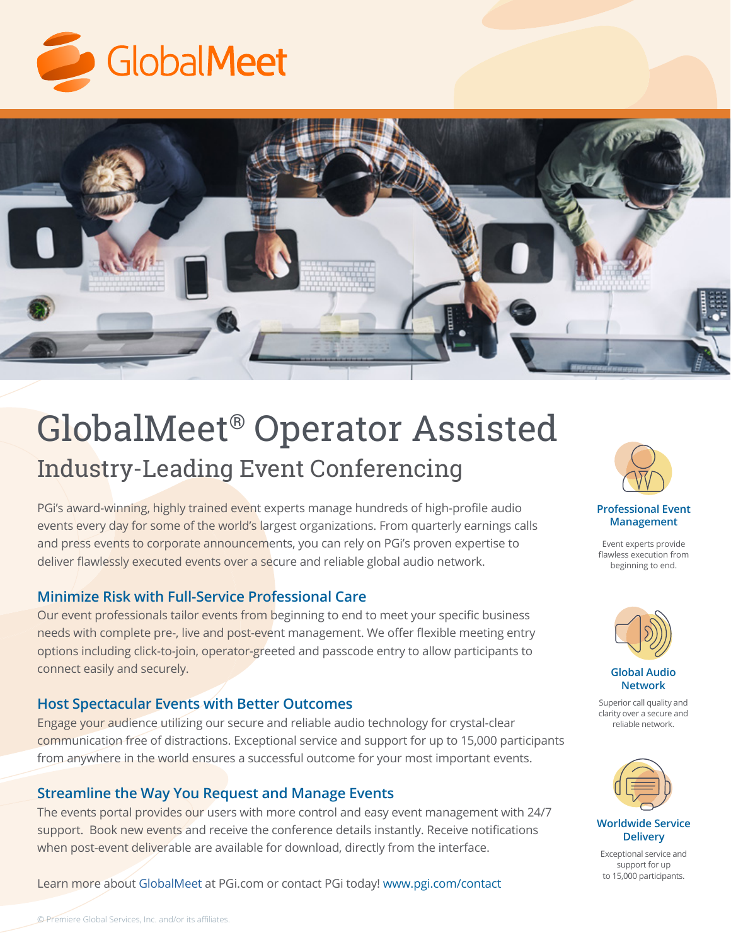



# GlobalMeet® Operator Assisted Industry-Leading Event Conferencing

PGi's award-winning, highly trained event experts manage hundreds of high-profile audio events every day for some of the world's largest organizations. From quarterly earnings calls and press events to corporate announcements, you can rely on PGi's proven expertise to deliver flawlessly executed events over a secure and reliable global audio network.

#### **Minimize Risk with Full-Service Professional Care**

Our event professionals tailor events from beginning to end to meet your specific business needs with complete pre-, live and post-event management. We offer flexible meeting entry options including click-to-join, operator-greeted and passcode entry to allow participants to connect easily and securely.

#### **Host Spectacular Events with Better Outcomes**

Engage your audience utilizing our secure and reliable audio technology for crystal-clear communication free of distractions. Exceptional service and support for up to 15,000 participants from anywhere in the world ensures a successful outcome for your most important events.

#### **Streamline the Way You Request and Manage Events**

The events portal provides our users with more control and easy event management with 24/7 support. Book new events and receive the conference details instantly. Receive notifications when post-event deliverable are available for download, directly from the interface.

Learn more about [GlobalMeet](https://www.pgi.com/products/globalmeet/collaboration/) at PGi.com or contact PGi today! [www.pgi.com/contact](http://www.pgi.com/contact)

#### **Professional Event Management**

Event experts provide flawless execution from beginning to end.



**Global Audio Network**

Superior call quality and clarity over a secure and reliable network.



**Worldwide Service Delivery**

Exceptional service and support for up to 15,000 participants.